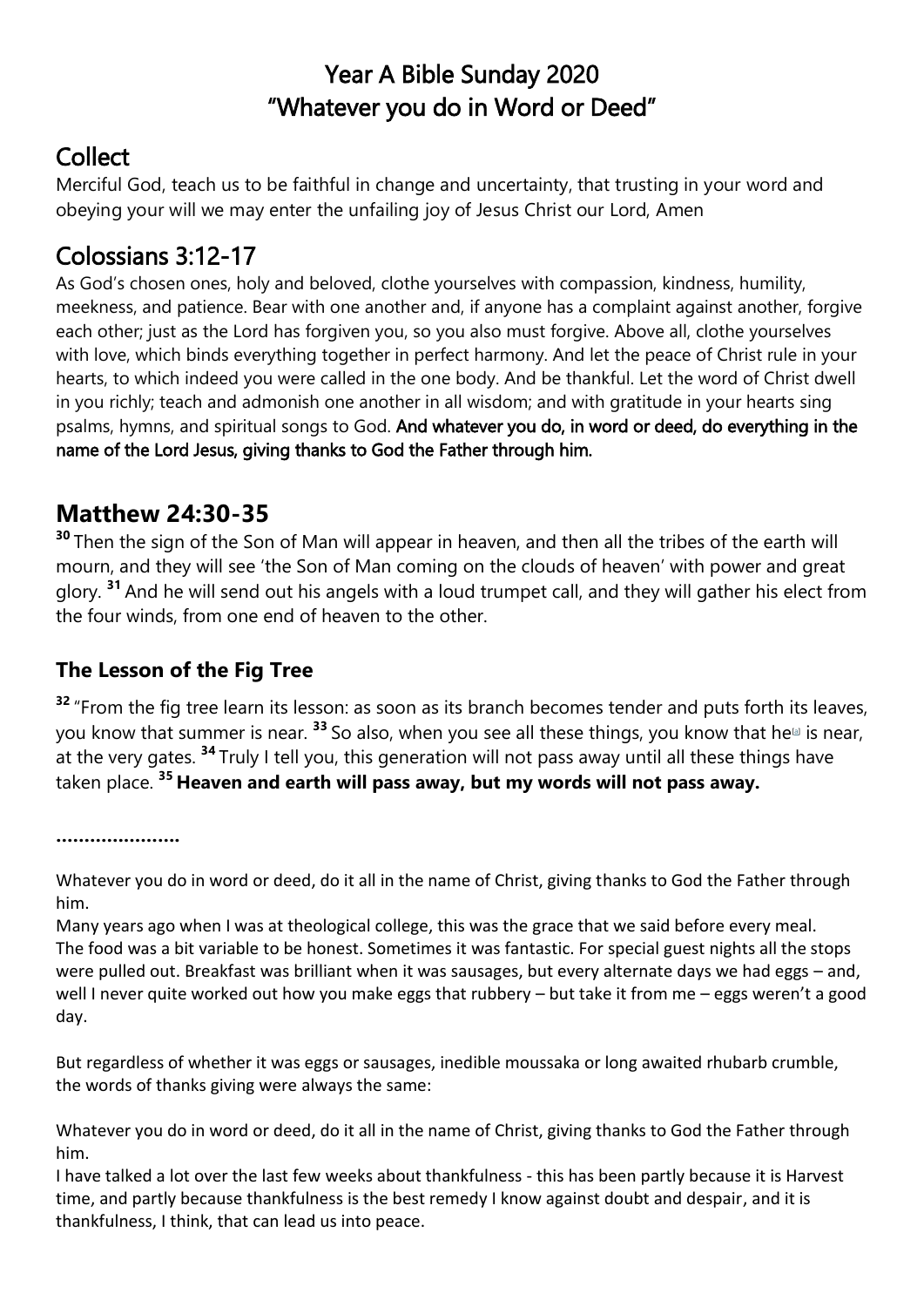## Year A Bible Sunday 2020 "Whatever you do in Word or Deed"

# **Collect**

Merciful God, teach us to be faithful in change and uncertainty, that trusting in your word and obeying your will we may enter the unfailing joy of Jesus Christ our Lord, Amen

## Colossians 3:12-17

As God's chosen ones, holy and beloved, clothe yourselves with compassion, kindness, humility, meekness, and patience. Bear with one another and, if anyone has a complaint against another, forgive each other; just as the Lord has forgiven you, so you also must forgive. Above all, clothe yourselves with love, which binds everything together in perfect harmony. And let the peace of Christ rule in your hearts, to which indeed you were called in the one body. And be thankful. Let the word of Christ dwell in you richly; teach and admonish one another in all wisdom; and with gratitude in your hearts sing psalms, hymns, and spiritual songs to God. And whatever you do, in word or deed, do everything in the name of the Lord Jesus, giving thanks to God the Father through him.

#### **Matthew 24:30-35**

**<sup>30</sup>** Then the sign of the Son of Man will appear in heaven, and then all the tribes of the earth will mourn, and they will see 'the Son of Man coming on the clouds of heaven' with power and great glory. **<sup>31</sup>** And he will send out his angels with a loud trumpet call, and they will gather his elect from the four winds, from one end of heaven to the other.

#### **The Lesson of the Fig Tree**

<sup>32</sup> "From the fig tree learn its lesson: as soon as its branch becomes tender and puts forth its leaves, you know that summer is near. <sup>33</sup> So also, when you see all these things, you know that he<sup>[8]</sup> is near, at the very gates. **<sup>34</sup>** Truly I tell you, this generation will not pass away until all these things have taken place. **<sup>35</sup> Heaven and earth will pass away, but my words will not pass away.**

**………………….**

Whatever you do in word or deed, do it all in the name of Christ, giving thanks to God the Father through him.

Many years ago when I was at theological college, this was the grace that we said before every meal. The food was a bit variable to be honest. Sometimes it was fantastic. For special guest nights all the stops were pulled out. Breakfast was brilliant when it was sausages, but every alternate days we had eggs – and, well I never quite worked out how you make eggs that rubbery – but take it from me – eggs weren't a good day.

But regardless of whether it was eggs or sausages, inedible moussaka or long awaited rhubarb crumble, the words of thanks giving were always the same:

Whatever you do in word or deed, do it all in the name of Christ, giving thanks to God the Father through him.

I have talked a lot over the last few weeks about thankfulness - this has been partly because it is Harvest time, and partly because thankfulness is the best remedy I know against doubt and despair, and it is thankfulness, I think, that can lead us into peace.